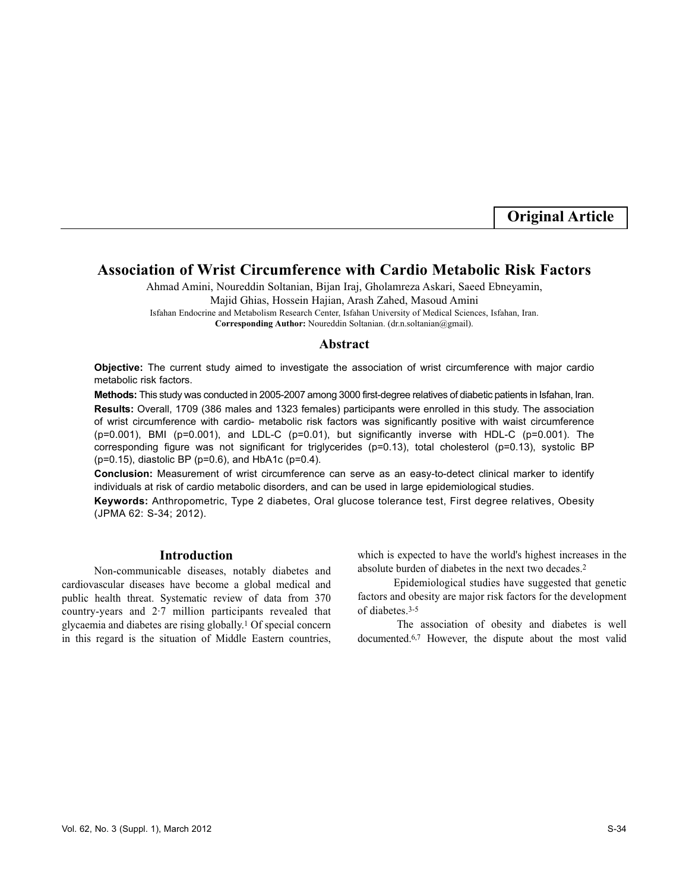**Original Article**

# **Association of Wrist Circumference with Cardio Metabolic Risk Factors**

Ahmad Amini, Noureddin Soltanian, Bijan Iraj, Gholamreza Askari, Saeed Ebneyamin, Majid Ghias, Hossein Hajian, Arash Zahed, Masoud Amini Isfahan Endocrine and Metabolism Research Center, Isfahan University of Medical Sciences, Isfahan, Iran.

**Corresponding Author:** Noureddin Soltanian. (dr.n.soltanian@gmail).

#### **Abstract**

**Objective:** The current study aimed to investigate the association of wrist circumference with major cardio metabolic risk factors.

**Methods:** This study was conducted in 2005-2007 among 3000 first-degree relatives of diabetic patients in Isfahan, Iran.

**Results:** Overall, 1709 (386 males and 1323 females) participants were enrolled in this study. The association of wrist circumference with cardio- metabolic risk factors was significantly positive with waist circumference  $(p=0.001)$ , BMI ( $p=0.001$ ), and LDL-C ( $p=0.01$ ), but significantly inverse with HDL-C ( $p=0.001$ ). The corresponding figure was not significant for triglycerides (p=0.13), total cholesterol (p=0.13), systolic BP (p=0.15), diastolic BP (p=0.6), and HbA1c (p=0.4).

**Conclusion:** Measurement of wrist circumference can serve as an easy-to-detect clinical marker to identify individuals at risk of cardio metabolic disorders, and can be used in large epidemiological studies.

**Keywords:** Anthropometric, Type 2 diabetes, Oral glucose tolerance test, First degree relatives, Obesity (JPMA 62: S-34; 2012).

## **Introduction**

Non-communicable diseases, notably diabetes and cardiovascular diseases have become a global medical and public health threat. Systematic review of data from 370 country-years and 2·7 million participants revealed that glycaemia and diabetes are rising globally.<sup>1</sup> Of special concern in this regard is the situation of Middle Eastern countries, which is expected to have the world's highest increases in the absolute burden of diabetes in the next two decades.<sup>2</sup>

Epidemiological studies have suggested that genetic factors and obesity are major risk factors for the development of diabetes.3-5

The association of obesity and diabetes is well documented.6,7 However, the dispute about the most valid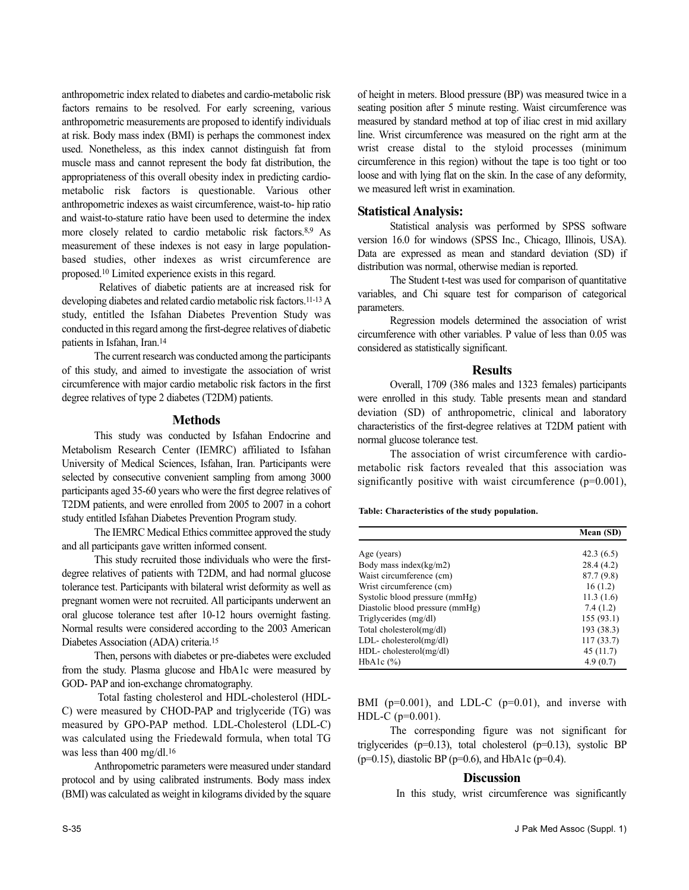anthropometric index related to diabetes and cardio-metabolic risk factors remains to be resolved. For early screening, various anthropometric measurements are proposed to identify individuals at risk. Body mass index (BMI) is perhaps the commonest index used. Nonetheless, as this index cannot distinguish fat from muscle mass and cannot represent the body fat distribution, the appropriateness of this overall obesity index in predicting cardiometabolic risk factors is questionable. Various other anthropometric indexes as waist circumference, waist-to- hip ratio and waist-to-stature ratio have been used to determine the index more closely related to cardio metabolic risk factors.8,9 As measurement of these indexes is not easy in large populationbased studies, other indexes as wrist circumference are proposed.<sup>10</sup> Limited experience exists in this regard.

Relatives of diabetic patients are at increased risk for developing diabetes and related cardio metabolic risk factors.<sup>11-13</sup> A study, entitled the Isfahan Diabetes Prevention Study was conducted in this regard among the first-degree relatives of diabetic patients in Isfahan, Iran.<sup>14</sup>

The current research was conducted among the participants of this study, and aimed to investigate the association of wrist circumference with major cardio metabolic risk factors in the first degree relatives of type 2 diabetes (T2DM) patients.

#### **Methods**

This study was conducted by Isfahan Endocrine and Metabolism Research Center (IEMRC) affiliated to Isfahan University of Medical Sciences, Isfahan, Iran. Participants were selected by consecutive convenient sampling from among 3000 participants aged 35-60 years who were the first degree relatives of T2DM patients, and were enrolled from 2005 to 2007 in a cohort study entitled Isfahan Diabetes Prevention Program study.

The IEMRC Medical Ethics committee approved the study and all participants gave written informed consent.

This study recruited those individuals who were the firstdegree relatives of patients with T2DM, and had normal glucose tolerance test. Participants with bilateral wrist deformity as well as pregnant women were not recruited. All participants underwent an oral glucose tolerance test after 10-12 hours overnight fasting. Normal results were considered according to the 2003 American Diabetes Association (ADA) criteria.<sup>15</sup>

Then, persons with diabetes or pre-diabetes were excluded from the study. Plasma glucose and HbA1c were measured by GOD- PAP and ion-exchange chromatography.

Total fasting cholesterol and HDL-cholesterol (HDL-C) were measured by CHOD-PAP and triglyceride (TG) was measured by GPO-PAP method. LDL-Cholesterol (LDL-C) was calculated using the Friedewald formula, when total TG was less than 400 mg/dl.<sup>16</sup>

Anthropometric parameters were measured under standard protocol and by using calibrated instruments. Body mass index (BMI) was calculated as weight in kilograms divided by the square

of height in meters. Blood pressure (BP) was measured twice in a seating position after 5 minute resting. Waist circumference was measured by standard method at top of iliac crest in mid axillary line. Wrist circumference was measured on the right arm at the wrist crease distal to the styloid processes (minimum circumference in this region) without the tape is too tight or too loose and with lying flat on the skin. In the case of any deformity, we measured left wrist in examination.

## **Statistical Analysis:**

Statistical analysis was performed by SPSS software version 16.0 for windows (SPSS Inc., Chicago, Illinois, USA). Data are expressed as mean and standard deviation (SD) if distribution was normal, otherwise median is reported.

The Student t-test was used for comparison of quantitative variables, and Chi square test for comparison of categorical parameters.

Regression models determined the association of wrist circumference with other variables. P value of less than 0.05 was considered as statistically significant.

#### **Results**

Overall, 1709 (386 males and 1323 females) participants were enrolled in this study. Table presents mean and standard deviation (SD) of anthropometric, clinical and laboratory characteristics of the first-degree relatives at T2DM patient with normal glucose tolerance test.

The association of wrist circumference with cardiometabolic risk factors revealed that this association was significantly positive with waist circumference (p=0.001),

**Table: Characteristics of the study population.**

|                                 | Mean (SD)  |
|---------------------------------|------------|
|                                 |            |
| Age (years)                     | 42.3(6.5)  |
| Body mass index( $kg/m2$ )      | 28.4 (4.2) |
| Waist circumference (cm)        | 87.7(9.8)  |
| Wrist circumference (cm)        | 16(1.2)    |
| Systolic blood pressure (mmHg)  | 11.3(1.6)  |
| Diastolic blood pressure (mmHg) | 7.4(1.2)   |
| Triglycerides (mg/dl)           | 155 (93.1) |
| Total cholesterol(mg/dl)        | 193 (38.3) |
| $LDL$ -cholesterol(mg/dl)       | 117(33.7)  |
| $HDL-$ cholesterol(mg/dl)       | 45(11.7)   |
| HbAlc $(\%)$                    | 4.9(0.7)   |

BMI ( $p=0.001$ ), and LDL-C ( $p=0.01$ ), and inverse with HDL-C (p=0.001).

The corresponding figure was not significant for triglycerides ( $p=0.13$ ), total cholesterol ( $p=0.13$ ), systolic BP ( $p=0.15$ ), diastolic BP ( $p=0.6$ ), and HbA1c ( $p=0.4$ ).

## **Discussion**

In this study, wrist circumference was significantly